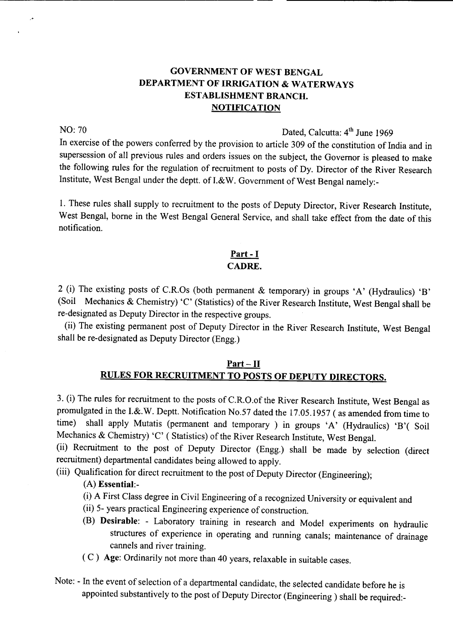## GOVERNMENT OF WEST BENGAL DEPARTMENT OF IRRIGATION & WATERWAYS ESTABLISHMENT BRANCH. **NOTIFICATION**

Ļ×

# NO: 70 Dated, Calcutta: 4<sup>th</sup> June 1969

In exercise of the powers conferred by the provision to article 309 of the constitution of India and in supersession of all previous rules and orders issues on the subject, the Governor is pleased to make the following rules for the regulation of recruitment to posts of Dy. Director of the River Research Institute, West Bengal under the deptt. of I.&W. Government of West Bengal namely:-

1. These rules shall supply to recruitment to the posts of Deputy Director, River Research Institute, West Bengal, borne in the West Bengal General Service, and shall take effect from the date of this notification.

#### Part - **I** CADRE.

2 (i) The existing posts of C.R.Os (both permanent & temporary) in groups 'A' (Hydraulics) 'B' (Soil Mechanics & Chemistry) 'C' (Statistics) of the River Research Institute, West Bengal shall be re-designated as Deputy Director in the respective groups.

(ii) The existing permanent post of Deputy Director in the River Research Institute, West Bengal shall be re-designated as Deputy Director (Engg.)

#### Part - **II** RULES FOR RECRUITMENT TO POSTS OF DEPUTY DIRECTORS.

3. (i) The rules for recruitment to the posts of C.R.O.of the River Research Institute, West Bengal as promulgated in the I.&.W. Deptt. Notification No.57 dated the 17.05.1957 ( as amended from time to time) shall apply Mutatis (permanent and temporary) in groups 'A' (Hydraulics) 'B'( Soil Mechanics & Chemistry) 'C' ( Statistics) of the River Research Institute, West Bengal.

(ii) Recruitment to the post of Deputy Director (Engg.) shall be made by selection (direct recruitment) departmental candidates being allowed to apply.

(iii) Qualification for direct recruitment to the post of Deputy Director (Engineering);

### (A) Essential:-

- (i) A First Class degree in Civil Engineering of a recognized University or equivalent and
- (ii) 5- years practical Engineering experience of construction.
- (B) Desirable: Laboratory training in research and Model experiments on hydraulic structures of experience in operating and running canals; maintenance of drainage cannels and river training.
- ( C) Age: Ordinarily not more than 40 years, relaxable in suitable cases.
- Note: In the event of selection of a departmental candidate, the selected candidate before he is appointed substantively to the post of Deputy Director (Engineering) shall be required:-